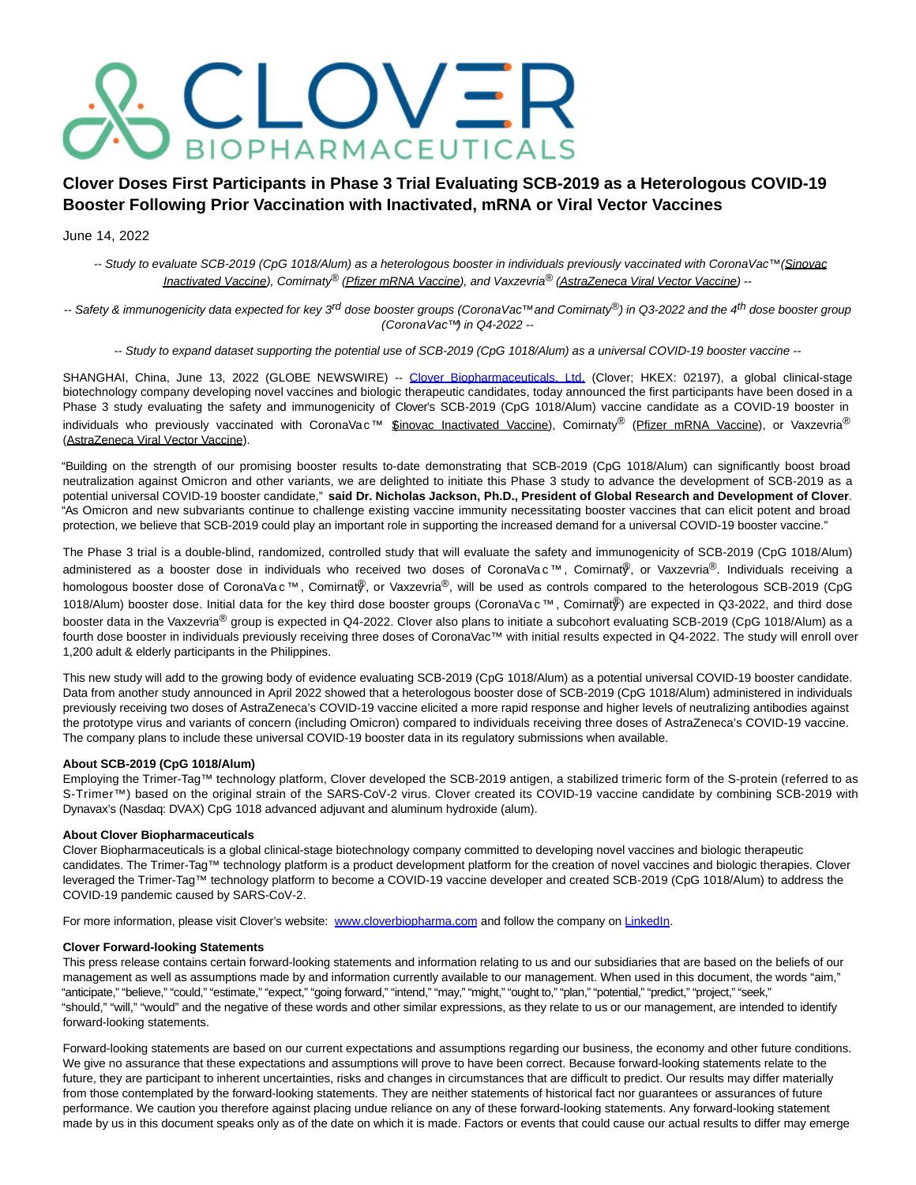# CLOVER **BIOPHARMACEUTICALS**

## **Clover Doses First Participants in Phase 3 Trial Evaluating SCB-2019 as a Heterologous COVID-19 Booster Following Prior Vaccination with Inactivated, mRNA or Viral Vector Vaccines**

June 14, 2022

-- Study to evaluate SCB-2019 (CpG 1018/Alum) as a heterologous booster in individuals previously vaccinated with CoronaVac™ (Sinovac Inactivated Vaccine), Comirnaty<sup>®</sup> (Pfizer mRNA Vaccine), and Vaxzevria<sup>®</sup> (AstraZeneca Viral Vector Vaccine) --

-- Safety & immunogenicity data expected for key 3<sup>rd</sup> dose booster groups (CoronaVac™and Comirnaty<sup>®</sup>) in Q3-2022 and the 4<sup>th</sup> dose booster group (CoronaVac™) in Q4-2022 --

-- Study to expand dataset supporting the potential use of SCB-2019 (CpG 1018/Alum) as a universal COVID-19 booster vaccine --

SHANGHAI, China, June 13, 2022 (GLOBE NEWSWIRE) -- [Clover Biopharmaceuticals, Ltd.](https://www.globenewswire.com/Tracker?data=KOxUaunhsBYyt3r0VBi35FsK96B3o3sZOanlUZhqf2SZXIPXSrPXdHM7HOOlyO9FqCXb1wZ_NuAvz7CJ_xTBF6Y_QEaS_ranYj286RtZe7e7ph88a8xSbyO81eupzSYP) (Clover; HKEX: 02197), a global clinical-stage biotechnology company developing novel vaccines and biologic therapeutic candidates, today announced the first participants have been dosed in a Phase 3 study evaluating the safety and immunogenicity of Clover's SCB-2019 (CpG 1018/Alum) vaccine candidate as a COVID-19 booster in individuals who previously vaccinated with CoronaVac™ \$inovac Inactivated Vaccine), Comirnaty® (Pfizer mRNA Vaccine), or Vaxzevria® (AstraZeneca Viral Vector Vaccine).

"Building on the strength of our promising booster results to-date demonstrating that SCB-2019 (CpG 1018/Alum) can significantly boost broad neutralization against Omicron and other variants, we are delighted to initiate this Phase 3 study to advance the development of SCB-2019 as a potential universal COVID-19 booster candidate," **said Dr. Nicholas Jackson, Ph.D., President of Global Research and Development of Clover**. "As Omicron and new subvariants continue to challenge existing vaccine immunity necessitating booster vaccines that can elicit potent and broad protection, we believe that SCB-2019 could play an important role in supporting the increased demand for a universal COVID-19 booster vaccine."

The Phase 3 trial is a double-blind, randomized, controlled study that will evaluate the safety and immunogenicity of SCB-2019 (CpG 1018/Alum) administered as a booster dose in individuals who received two doses of CoronaVac™, Comirnat<sup>®</sup>, or Vaxzevria®. Individuals receiving a homologous booster dose of CoronaVa c<sup>™</sup>, Comirnat<sup>®</sup>, or Vaxzevria<sup>®</sup>, will be used as controls compared to the heterologous SCB-2019 (CpG 1018/Alum) booster dose. Initial data for the key third dose booster groups (CoronaVac™, Comirnati) are expected in Q3-2022, and third dose booster data in the Vaxzevria<sup>®</sup> group is expected in Q4-2022. Clover also plans to initiate a subcohort evaluating SCB-2019 (CpG 1018/Alum) as a fourth dose booster in individuals previously receiving three doses of CoronaVac™ with initial results expected in Q4-2022. The study will enroll over 1,200 adult & elderly participants in the Philippines.

This new study will add to the growing body of evidence evaluating SCB-2019 (CpG 1018/Alum) as a potential universal COVID-19 booster candidate. Data from another study announced in April 2022 showed that a heterologous booster dose of SCB-2019 (CpG 1018/Alum) administered in individuals previously receiving two doses of AstraZeneca's COVID-19 vaccine elicited a more rapid response and higher levels of neutralizing antibodies against the prototype virus and variants of concern (including Omicron) compared to individuals receiving three doses of AstraZeneca's COVID-19 vaccine. The company plans to include these universal COVID-19 booster data in its regulatory submissions when available.

### **About SCB-2019 (CpG 1018/Alum)**

Employing the Trimer-Tag™ technology platform, Clover developed the SCB-2019 antigen, a stabilized trimeric form of the S-protein (referred to as S-Trimer™) based on the original strain of the SARS-CoV-2 virus. Clover created its COVID-19 vaccine candidate by combining SCB-2019 with Dynavax's (Nasdaq: DVAX) CpG 1018 advanced adjuvant and aluminum hydroxide (alum).

### **About Clover Biopharmaceuticals**

Clover Biopharmaceuticals is a global clinical-stage biotechnology company committed to developing novel vaccines and biologic therapeutic candidates. The Trimer-Tag™ technology platform is a product development platform for the creation of novel vaccines and biologic therapies. Clover leveraged the Trimer-Tag™ technology platform to become a COVID-19 vaccine developer and created SCB-2019 (CpG 1018/Alum) to address the COVID-19 pandemic caused by SARS-CoV-2.

For more information, please visit Clover's website: [www.cloverbiopharma.com a](https://www.globenewswire.com/Tracker?data=l4wBKSaBhLmGXoazYUQpPr-_T67nS7uZRGkSx8ATYHyotxQtkHorCcnk48AbrKn_1osL-0N-ykJHqlOqnYuyVG8bVccjadDFNM6f1eve6zE=)nd follow the company on [LinkedIn.](https://www.globenewswire.com/Tracker?data=J5TKGb8sxIs4W2vp1ksbYOnkv_Zagjl8JppnnLEP3IRcqYM6VWh910q6rPwZ-uNYryClrpeQyIeLwJK6pOslyL3J6gruXHdMBR-jv5LCXbzZCLn1tcrabGOImT4FcuxGCECIC02adHwh5-HBs5CDSw==)

### **Clover Forward-looking Statements**

This press release contains certain forward-looking statements and information relating to us and our subsidiaries that are based on the beliefs of our management as well as assumptions made by and information currently available to our management. When used in this document, the words "aim," "anticipate," "believe," "could," "estimate," "expect," "going forward," "intend," "may," "might," "ought to," "plan," "potential," "predict," "project," "seek," "should," "will," "would" and the negative of these words and other similar expressions, as they relate to us or our management, are intended to identify forward-looking statements.

Forward-looking statements are based on our current expectations and assumptions regarding our business, the economy and other future conditions. We give no assurance that these expectations and assumptions will prove to have been correct. Because forward-looking statements relate to the future, they are participant to inherent uncertainties, risks and changes in circumstances that are difficult to predict. Our results may differ materially from those contemplated by the forward-looking statements. They are neither statements of historical fact nor guarantees or assurances of future performance. We caution you therefore against placing undue reliance on any of these forward-looking statements. Any forward-looking statement made by us in this document speaks only as of the date on which it is made. Factors or events that could cause our actual results to differ may emerge